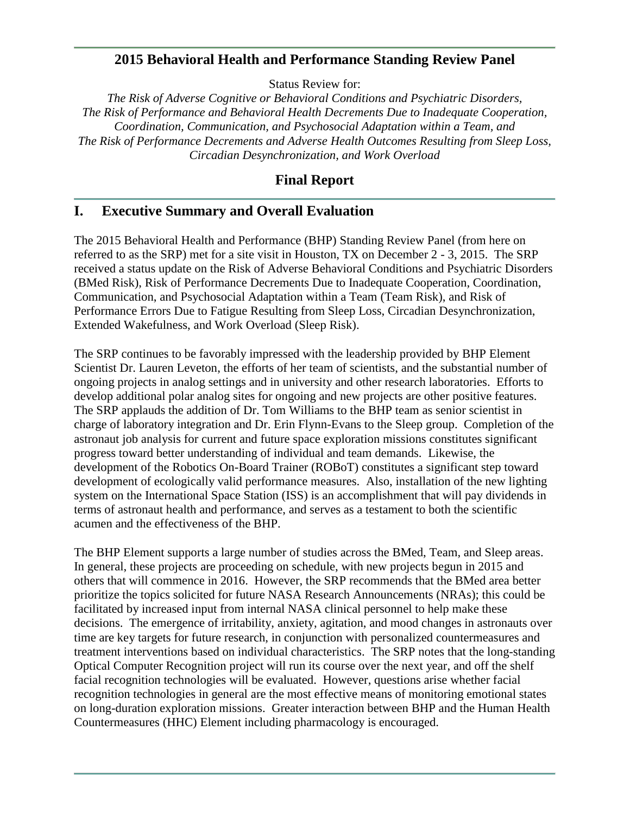### **2015 Behavioral Health and Performance Standing Review Panel**

Status Review for:

*The Risk of Adverse Cognitive or Behavioral Conditions and Psychiatric Disorders, The Risk of Performance and Behavioral Health Decrements Due to Inadequate Cooperation, Coordination, Communication, and Psychosocial Adaptation within a Team, and The Risk of Performance Decrements and Adverse Health Outcomes Resulting from Sleep Loss, Circadian Desynchronization, and Work Overload*

## **Final Report**

### **I. Executive Summary and Overall Evaluation**

The 2015 Behavioral Health and Performance (BHP) Standing Review Panel (from here on referred to as the SRP) met for a site visit in Houston, TX on December 2 - 3, 2015. The SRP received a status update on the Risk of Adverse Behavioral Conditions and Psychiatric Disorders (BMed Risk), Risk of Performance Decrements Due to Inadequate Cooperation, Coordination, Communication, and Psychosocial Adaptation within a Team (Team Risk), and Risk of Performance Errors Due to Fatigue Resulting from Sleep Loss, Circadian Desynchronization, Extended Wakefulness, and Work Overload (Sleep Risk).

The SRP continues to be favorably impressed with the leadership provided by BHP Element Scientist Dr. Lauren Leveton, the efforts of her team of scientists, and the substantial number of ongoing projects in analog settings and in university and other research laboratories. Efforts to develop additional polar analog sites for ongoing and new projects are other positive features. The SRP applauds the addition of Dr. Tom Williams to the BHP team as senior scientist in charge of laboratory integration and Dr. Erin Flynn-Evans to the Sleep group. Completion of the astronaut job analysis for current and future space exploration missions constitutes significant progress toward better understanding of individual and team demands. Likewise, the development of the Robotics On-Board Trainer (ROBoT) constitutes a significant step toward development of ecologically valid performance measures. Also, installation of the new lighting system on the International Space Station (ISS) is an accomplishment that will pay dividends in terms of astronaut health and performance, and serves as a testament to both the scientific acumen and the effectiveness of the BHP.

The BHP Element supports a large number of studies across the BMed, Team, and Sleep areas. In general, these projects are proceeding on schedule, with new projects begun in 2015 and others that will commence in 2016. However, the SRP recommends that the BMed area better prioritize the topics solicited for future NASA Research Announcements (NRAs); this could be facilitated by increased input from internal NASA clinical personnel to help make these decisions. The emergence of irritability, anxiety, agitation, and mood changes in astronauts over time are key targets for future research, in conjunction with personalized countermeasures and treatment interventions based on individual characteristics. The SRP notes that the long-standing Optical Computer Recognition project will run its course over the next year, and off the shelf facial recognition technologies will be evaluated. However, questions arise whether facial recognition technologies in general are the most effective means of monitoring emotional states on long-duration exploration missions. Greater interaction between BHP and the Human Health Countermeasures (HHC) Element including pharmacology is encouraged.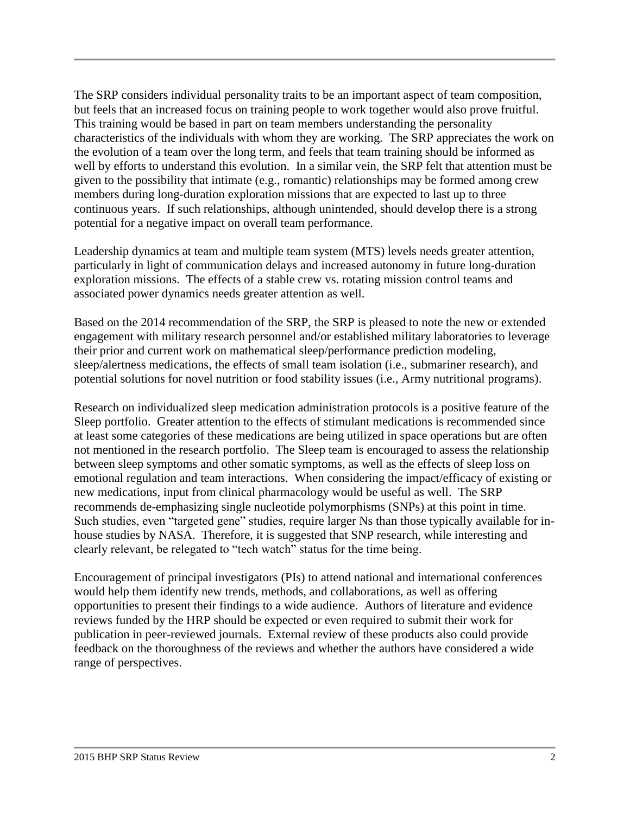The SRP considers individual personality traits to be an important aspect of team composition, but feels that an increased focus on training people to work together would also prove fruitful. This training would be based in part on team members understanding the personality characteristics of the individuals with whom they are working. The SRP appreciates the work on the evolution of a team over the long term, and feels that team training should be informed as well by efforts to understand this evolution. In a similar vein, the SRP felt that attention must be given to the possibility that intimate (e.g., romantic) relationships may be formed among crew members during long-duration exploration missions that are expected to last up to three continuous years. If such relationships, although unintended, should develop there is a strong potential for a negative impact on overall team performance.

Leadership dynamics at team and multiple team system (MTS) levels needs greater attention, particularly in light of communication delays and increased autonomy in future long-duration exploration missions. The effects of a stable crew vs. rotating mission control teams and associated power dynamics needs greater attention as well.

Based on the 2014 recommendation of the SRP, the SRP is pleased to note the new or extended engagement with military research personnel and/or established military laboratories to leverage their prior and current work on mathematical sleep/performance prediction modeling, sleep/alertness medications, the effects of small team isolation (i.e., submariner research), and potential solutions for novel nutrition or food stability issues (i.e., Army nutritional programs).

Research on individualized sleep medication administration protocols is a positive feature of the Sleep portfolio. Greater attention to the effects of stimulant medications is recommended since at least some categories of these medications are being utilized in space operations but are often not mentioned in the research portfolio. The Sleep team is encouraged to assess the relationship between sleep symptoms and other somatic symptoms, as well as the effects of sleep loss on emotional regulation and team interactions. When considering the impact/efficacy of existing or new medications, input from clinical pharmacology would be useful as well. The SRP recommends de-emphasizing single nucleotide polymorphisms (SNPs) at this point in time. Such studies, even "targeted gene" studies, require larger Ns than those typically available for inhouse studies by NASA. Therefore, it is suggested that SNP research, while interesting and clearly relevant, be relegated to "tech watch" status for the time being.

Encouragement of principal investigators (PIs) to attend national and international conferences would help them identify new trends, methods, and collaborations, as well as offering opportunities to present their findings to a wide audience. Authors of literature and evidence reviews funded by the HRP should be expected or even required to submit their work for publication in peer-reviewed journals. External review of these products also could provide feedback on the thoroughness of the reviews and whether the authors have considered a wide range of perspectives.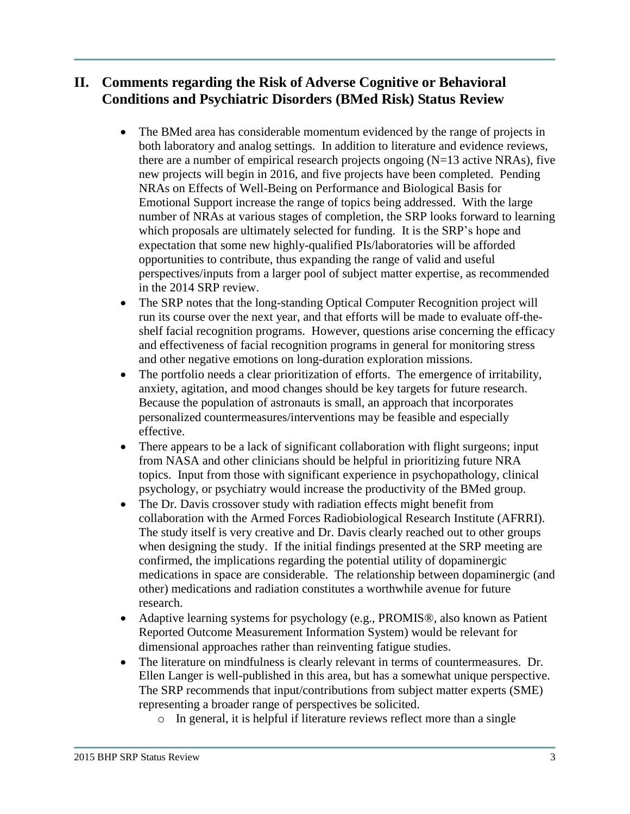## **II. Comments regarding the Risk of Adverse Cognitive or Behavioral Conditions and Psychiatric Disorders (BMed Risk) Status Review**

- The BMed area has considerable momentum evidenced by the range of projects in both laboratory and analog settings. In addition to literature and evidence reviews, there are a number of empirical research projects ongoing  $(N=13$  active NRAs), five new projects will begin in 2016, and five projects have been completed. Pending NRAs on Effects of Well-Being on Performance and Biological Basis for Emotional Support increase the range of topics being addressed. With the large number of NRAs at various stages of completion, the SRP looks forward to learning which proposals are ultimately selected for funding. It is the SRP's hope and expectation that some new highly-qualified PIs/laboratories will be afforded opportunities to contribute, thus expanding the range of valid and useful perspectives/inputs from a larger pool of subject matter expertise, as recommended in the 2014 SRP review.
- The SRP notes that the long-standing Optical Computer Recognition project will run its course over the next year, and that efforts will be made to evaluate off-theshelf facial recognition programs. However, questions arise concerning the efficacy and effectiveness of facial recognition programs in general for monitoring stress and other negative emotions on long-duration exploration missions.
- The portfolio needs a clear prioritization of efforts. The emergence of irritability, anxiety, agitation, and mood changes should be key targets for future research. Because the population of astronauts is small, an approach that incorporates personalized countermeasures/interventions may be feasible and especially effective.
- There appears to be a lack of significant collaboration with flight surgeons; input from NASA and other clinicians should be helpful in prioritizing future NRA topics. Input from those with significant experience in psychopathology, clinical psychology, or psychiatry would increase the productivity of the BMed group.
- The Dr. Davis crossover study with radiation effects might benefit from collaboration with the Armed Forces Radiobiological Research Institute (AFRRI). The study itself is very creative and Dr. Davis clearly reached out to other groups when designing the study. If the initial findings presented at the SRP meeting are confirmed, the implications regarding the potential utility of dopaminergic medications in space are considerable. The relationship between dopaminergic (and other) medications and radiation constitutes a worthwhile avenue for future research.
- Adaptive learning systems for psychology (e.g., PROMIS®, also known as Patient Reported Outcome Measurement Information System) would be relevant for dimensional approaches rather than reinventing fatigue studies.
- The literature on mindfulness is clearly relevant in terms of countermeasures. Dr. Ellen Langer is well-published in this area, but has a somewhat unique perspective. The SRP recommends that input/contributions from subject matter experts (SME) representing a broader range of perspectives be solicited.
	- o In general, it is helpful if literature reviews reflect more than a single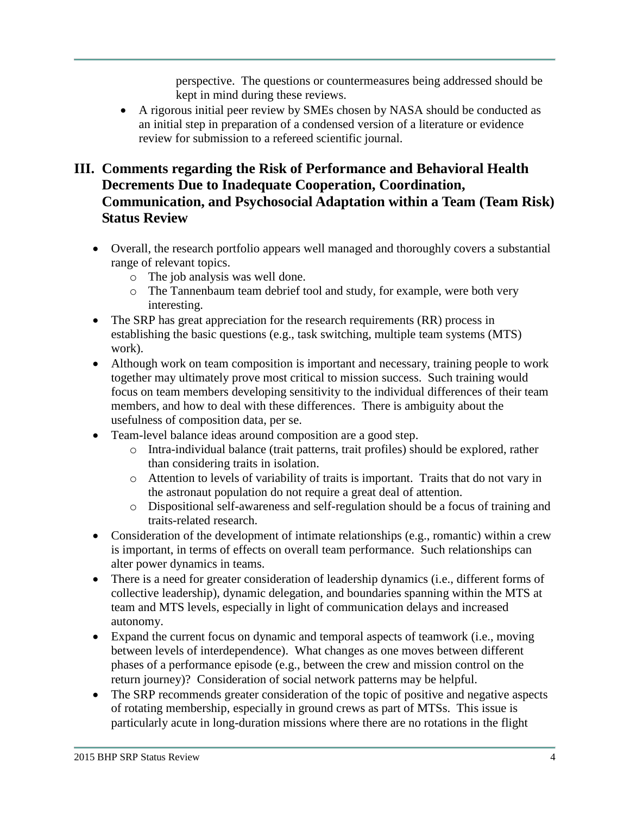perspective. The questions or countermeasures being addressed should be kept in mind during these reviews.

 A rigorous initial peer review by SMEs chosen by NASA should be conducted as an initial step in preparation of a condensed version of a literature or evidence review for submission to a refereed scientific journal.

# **III. Comments regarding the Risk of Performance and Behavioral Health Decrements Due to Inadequate Cooperation, Coordination, Communication, and Psychosocial Adaptation within a Team (Team Risk) Status Review**

- Overall, the research portfolio appears well managed and thoroughly covers a substantial range of relevant topics.
	- o The job analysis was well done.
	- o The Tannenbaum team debrief tool and study, for example, were both very interesting.
- The SRP has great appreciation for the research requirements (RR) process in establishing the basic questions (e.g., task switching, multiple team systems (MTS) work).
- Although work on team composition is important and necessary, training people to work together may ultimately prove most critical to mission success. Such training would focus on team members developing sensitivity to the individual differences of their team members, and how to deal with these differences. There is ambiguity about the usefulness of composition data, per se.
- Team-level balance ideas around composition are a good step.
	- o Intra-individual balance (trait patterns, trait profiles) should be explored, rather than considering traits in isolation.
	- o Attention to levels of variability of traits is important. Traits that do not vary in the astronaut population do not require a great deal of attention.
	- o Dispositional self-awareness and self-regulation should be a focus of training and traits-related research.
- Consideration of the development of intimate relationships (e.g., romantic) within a crew is important, in terms of effects on overall team performance. Such relationships can alter power dynamics in teams.
- There is a need for greater consideration of leadership dynamics (i.e., different forms of collective leadership), dynamic delegation, and boundaries spanning within the MTS at team and MTS levels, especially in light of communication delays and increased autonomy.
- Expand the current focus on dynamic and temporal aspects of teamwork (i.e., moving between levels of interdependence). What changes as one moves between different phases of a performance episode (e.g., between the crew and mission control on the return journey)? Consideration of social network patterns may be helpful.
- The SRP recommends greater consideration of the topic of positive and negative aspects of rotating membership, especially in ground crews as part of MTSs. This issue is particularly acute in long-duration missions where there are no rotations in the flight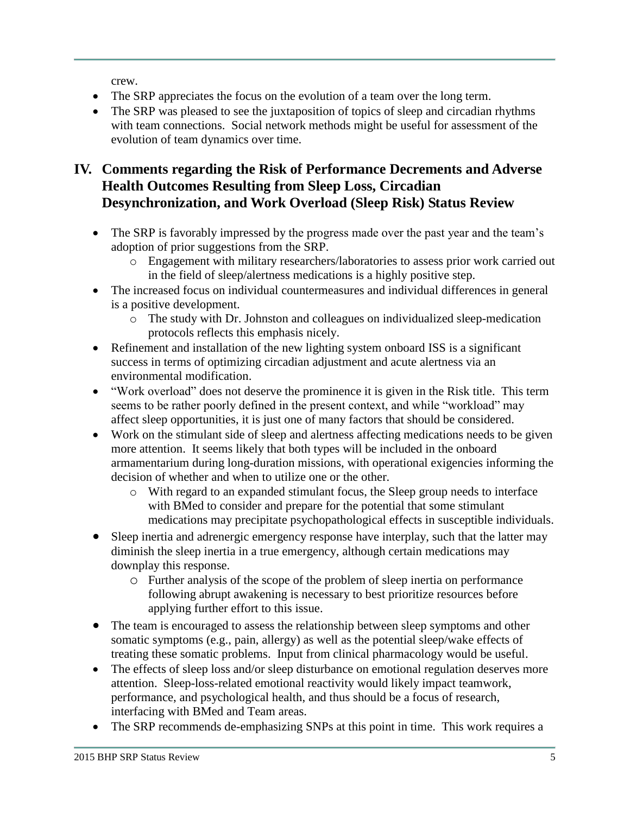crew.

- The SRP appreciates the focus on the evolution of a team over the long term.
- The SRP was pleased to see the juxtaposition of topics of sleep and circadian rhythms with team connections. Social network methods might be useful for assessment of the evolution of team dynamics over time.

# **IV. Comments regarding the Risk of Performance Decrements and Adverse Health Outcomes Resulting from Sleep Loss, Circadian Desynchronization, and Work Overload (Sleep Risk) Status Review**

- The SRP is favorably impressed by the progress made over the past year and the team's adoption of prior suggestions from the SRP.
	- o Engagement with military researchers/laboratories to assess prior work carried out in the field of sleep/alertness medications is a highly positive step.
- The increased focus on individual countermeasures and individual differences in general is a positive development.
	- o The study with Dr. Johnston and colleagues on individualized sleep-medication protocols reflects this emphasis nicely.
- Refinement and installation of the new lighting system onboard ISS is a significant success in terms of optimizing circadian adjustment and acute alertness via an environmental modification.
- "Work overload" does not deserve the prominence it is given in the Risk title. This term seems to be rather poorly defined in the present context, and while "workload" may affect sleep opportunities, it is just one of many factors that should be considered.
- Work on the stimulant side of sleep and alertness affecting medications needs to be given more attention. It seems likely that both types will be included in the onboard armamentarium during long-duration missions, with operational exigencies informing the decision of whether and when to utilize one or the other.
	- o With regard to an expanded stimulant focus, the Sleep group needs to interface with BMed to consider and prepare for the potential that some stimulant medications may precipitate psychopathological effects in susceptible individuals.
- Sleep inertia and adrenergic emergency response have interplay, such that the latter may diminish the sleep inertia in a true emergency, although certain medications may downplay this response.
	- o Further analysis of the scope of the problem of sleep inertia on performance following abrupt awakening is necessary to best prioritize resources before applying further effort to this issue.
- The team is encouraged to assess the relationship between sleep symptoms and other somatic symptoms (e.g., pain, allergy) as well as the potential sleep/wake effects of treating these somatic problems. Input from clinical pharmacology would be useful.
- The effects of sleep loss and/or sleep disturbance on emotional regulation deserves more attention. Sleep-loss-related emotional reactivity would likely impact teamwork, performance, and psychological health, and thus should be a focus of research, interfacing with BMed and Team areas.
- The SRP recommends de-emphasizing SNPs at this point in time. This work requires a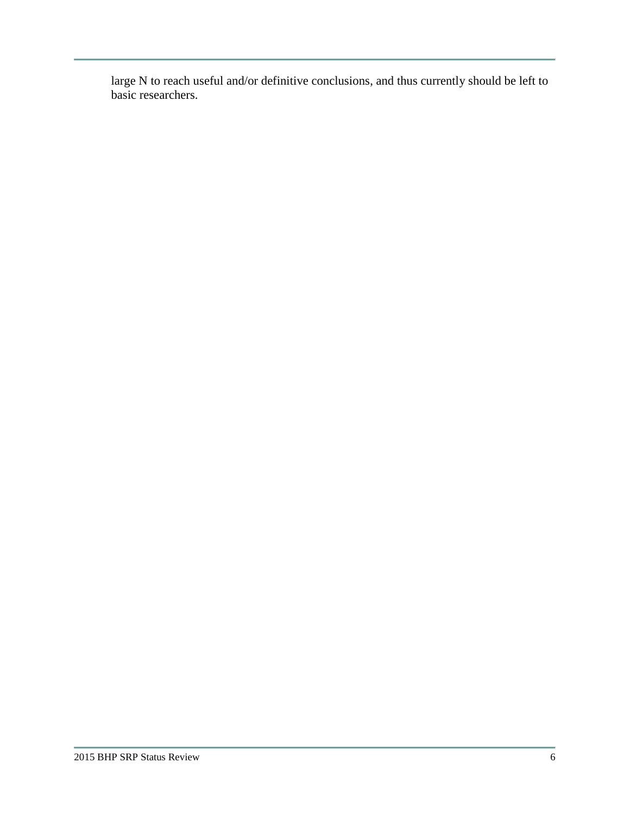large N to reach useful and/or definitive conclusions, and thus currently should be left to basic researchers.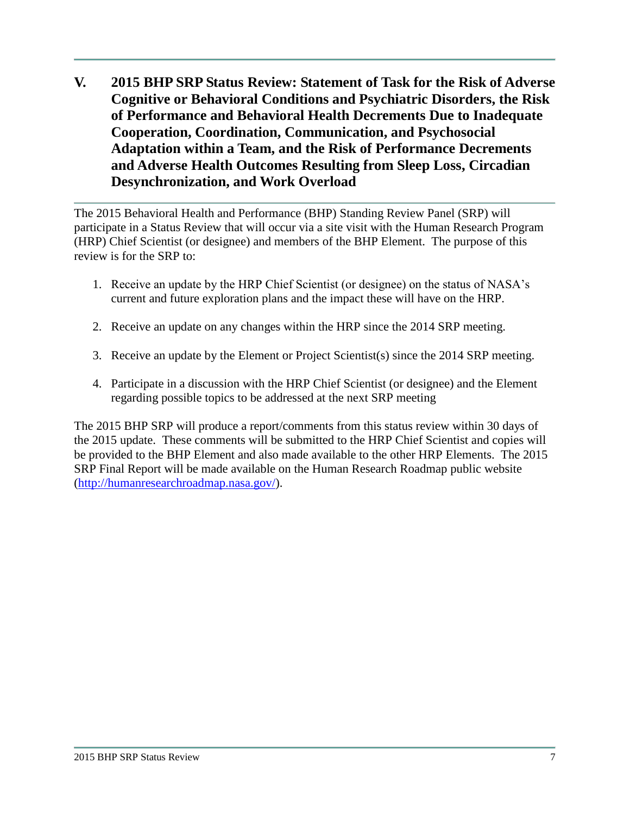**V. 2015 BHP SRP Status Review: Statement of Task for the Risk of Adverse Cognitive or Behavioral Conditions and Psychiatric Disorders, the Risk of Performance and Behavioral Health Decrements Due to Inadequate Cooperation, Coordination, Communication, and Psychosocial Adaptation within a Team, and the Risk of Performance Decrements and Adverse Health Outcomes Resulting from Sleep Loss, Circadian Desynchronization, and Work Overload**

The 2015 Behavioral Health and Performance (BHP) Standing Review Panel (SRP) will participate in a Status Review that will occur via a site visit with the Human Research Program (HRP) Chief Scientist (or designee) and members of the BHP Element. The purpose of this review is for the SRP to:

- 1. Receive an update by the HRP Chief Scientist (or designee) on the status of NASA's current and future exploration plans and the impact these will have on the HRP.
- 2. Receive an update on any changes within the HRP since the 2014 SRP meeting.
- 3. Receive an update by the Element or Project Scientist(s) since the 2014 SRP meeting.
- 4. Participate in a discussion with the HRP Chief Scientist (or designee) and the Element regarding possible topics to be addressed at the next SRP meeting

The 2015 BHP SRP will produce a report/comments from this status review within 30 days of the 2015 update. These comments will be submitted to the HRP Chief Scientist and copies will be provided to the BHP Element and also made available to the other HRP Elements. The 2015 SRP Final Report will be made available on the Human Research Roadmap public website [\(http://humanresearchroadmap.nasa.gov/\)](http://humanresearchroadmap.nasa.gov/).